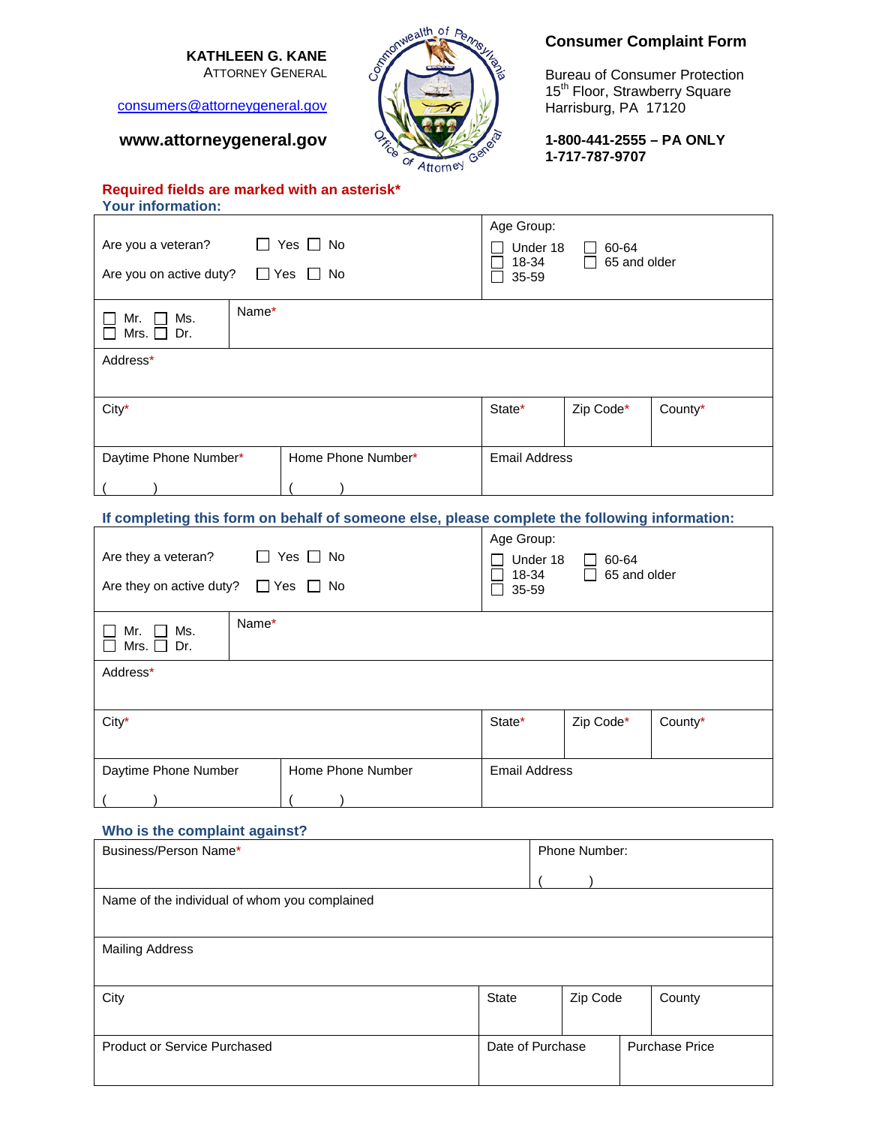# **KATHLEEN G. KANE**

ATTORNEY GENERAL

[consumers@attorneygeneral.gov](mailto:consumers@attorneygeneral.gov)

# **www.attorneygeneral.gov**



# **Consumer Complaint Form**

Bureau of Consumer Protection 15<sup>th</sup> Floor, Strawberry Square Harrisburg, PA 17120

**1-800-441-2555 – PA ONLY 1-717-787-9707**

## **Required fields are marked with an asterisk\* Your information:**

| Yes $\Box$ No<br>Are you a veteran?<br>Are you on active duty?<br>$\Box$ Yes<br>No.           |       |  |                      |        | Age Group:<br>Under 18<br>60-64<br>18-34<br>65 and older<br>35-59<br>$\overline{\phantom{a}}$ |         |  |
|-----------------------------------------------------------------------------------------------|-------|--|----------------------|--------|-----------------------------------------------------------------------------------------------|---------|--|
| Ms.<br>Mr.<br>Mrs.<br>Dr.<br>$\mathsf{L}$                                                     | Name* |  |                      |        |                                                                                               |         |  |
| Address*                                                                                      |       |  |                      |        |                                                                                               |         |  |
| City*                                                                                         |       |  |                      | State* | Zip Code*                                                                                     | County* |  |
| Home Phone Number*<br>Daytime Phone Number*                                                   |       |  | <b>Email Address</b> |        |                                                                                               |         |  |
|                                                                                               |       |  |                      |        |                                                                                               |         |  |
| If completing this form on behalf of someone else, please complete the following information: |       |  |                      |        |                                                                                               |         |  |
|                                                                                               |       |  |                      |        | Age Group:                                                                                    |         |  |

| Yes $\Box$ No<br>Are they a veteran?<br>$\perp$<br>$\Box$ Yes $\Box$ No<br>Are they on active duty? | Age Group:<br>Under 18<br>60-64<br>18-34<br>65 and older<br>$\mathsf{I}$<br>35-59 |                      |           |         |
|-----------------------------------------------------------------------------------------------------|-----------------------------------------------------------------------------------|----------------------|-----------|---------|
| Name*<br>Mr.<br>Ms.<br>$\mathbf{L}$<br>Mrs. $\Box$ Dr.                                              |                                                                                   |                      |           |         |
| Address*                                                                                            |                                                                                   |                      |           |         |
| City*                                                                                               |                                                                                   | State*               | Zip Code* | County* |
| Daytime Phone Number                                                                                | Home Phone Number                                                                 | <b>Email Address</b> |           |         |

# **Who is the complaint against?**

| Business/Person Name*                         |       | Phone Number:    |  |                       |
|-----------------------------------------------|-------|------------------|--|-----------------------|
|                                               |       |                  |  |                       |
| Name of the individual of whom you complained |       |                  |  |                       |
|                                               |       |                  |  |                       |
| <b>Mailing Address</b>                        |       |                  |  |                       |
|                                               |       |                  |  |                       |
| City                                          | State | Zip Code         |  | County                |
|                                               |       |                  |  |                       |
| <b>Product or Service Purchased</b>           |       | Date of Purchase |  | <b>Purchase Price</b> |
|                                               |       |                  |  |                       |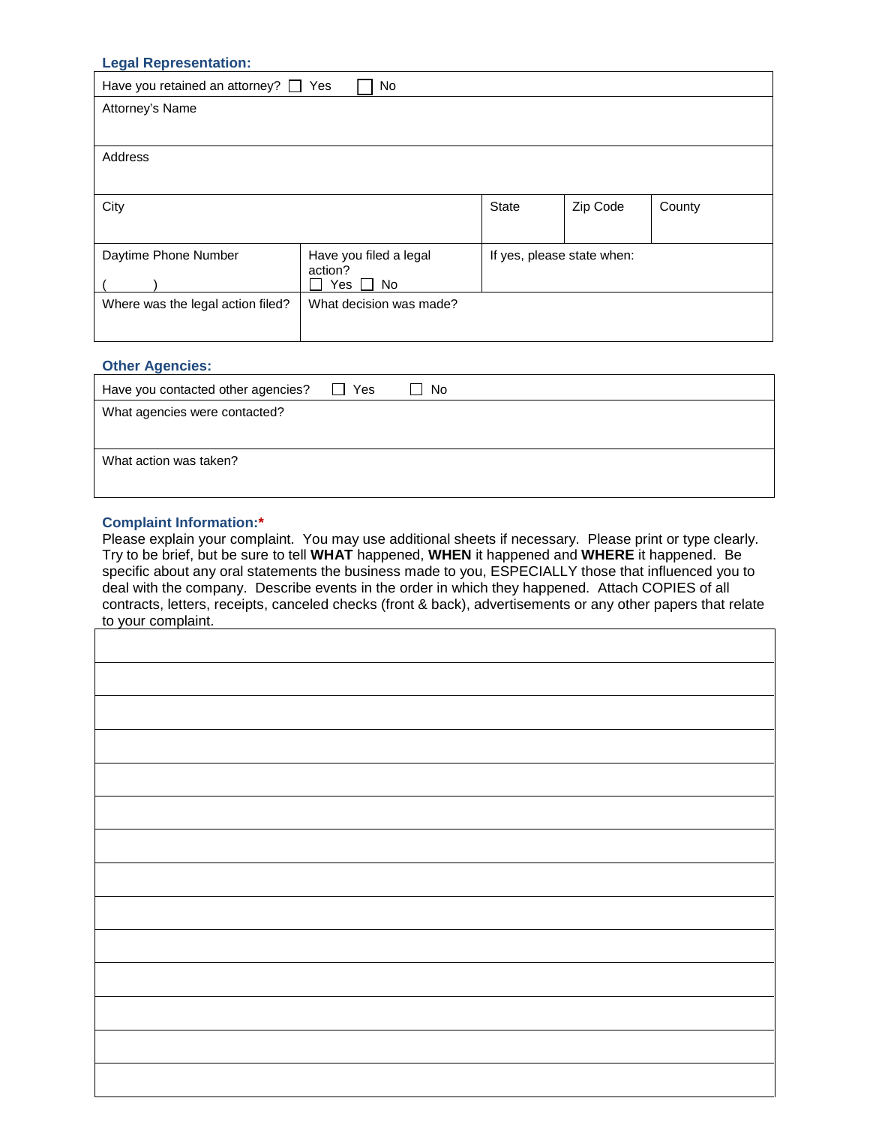| <b>Legal Representation:</b>              |                         |                            |          |        |
|-------------------------------------------|-------------------------|----------------------------|----------|--------|
| Have you retained an attorney? $\Box$ Yes | No                      |                            |          |        |
| Attorney's Name                           |                         |                            |          |        |
|                                           |                         |                            |          |        |
| Address                                   |                         |                            |          |        |
|                                           |                         |                            |          |        |
| City                                      |                         | <b>State</b>               | Zip Code | County |
|                                           |                         |                            |          |        |
| Daytime Phone Number                      | Have you filed a legal  | If yes, please state when: |          |        |
|                                           | action?<br>No<br>Yes    |                            |          |        |
| Where was the legal action filed?         | What decision was made? |                            |          |        |
|                                           |                         |                            |          |        |
|                                           |                         |                            |          |        |

# **Other Agencies:** Have you contacted other agencies?  $\Box$  Yes  $\Box$  No What agencies were contacted? What action was taken?

## **Complaint Information:\***

Please explain your complaint. You may use additional sheets if necessary. Please print or type clearly. Try to be brief, but be sure to tell **WHAT** happened, **WHEN** it happened and **WHERE** it happened. Be specific about any oral statements the business made to you, ESPECIALLY those that influenced you to deal with the company. Describe events in the order in which they happened. Attach COPIES of all contracts, letters, receipts, canceled checks (front & back), advertisements or any other papers that relate to your complaint.

| w your complaint. |  |
|-------------------|--|
|                   |  |
|                   |  |
|                   |  |
|                   |  |
|                   |  |
|                   |  |
|                   |  |
|                   |  |
|                   |  |
|                   |  |
|                   |  |
|                   |  |
|                   |  |
|                   |  |
|                   |  |
|                   |  |
|                   |  |
|                   |  |
|                   |  |
|                   |  |
|                   |  |
|                   |  |
|                   |  |
|                   |  |
|                   |  |
|                   |  |
|                   |  |
|                   |  |
|                   |  |
|                   |  |
|                   |  |
|                   |  |
|                   |  |
|                   |  |
|                   |  |
|                   |  |
|                   |  |
|                   |  |
|                   |  |
|                   |  |
|                   |  |
|                   |  |
|                   |  |
|                   |  |
|                   |  |
|                   |  |
|                   |  |
|                   |  |
|                   |  |
|                   |  |
|                   |  |
|                   |  |
|                   |  |
|                   |  |
|                   |  |
|                   |  |
|                   |  |
|                   |  |
|                   |  |
|                   |  |
|                   |  |
|                   |  |
|                   |  |
|                   |  |
|                   |  |
|                   |  |
|                   |  |
|                   |  |
|                   |  |
|                   |  |
|                   |  |
|                   |  |
|                   |  |
|                   |  |
|                   |  |
|                   |  |
|                   |  |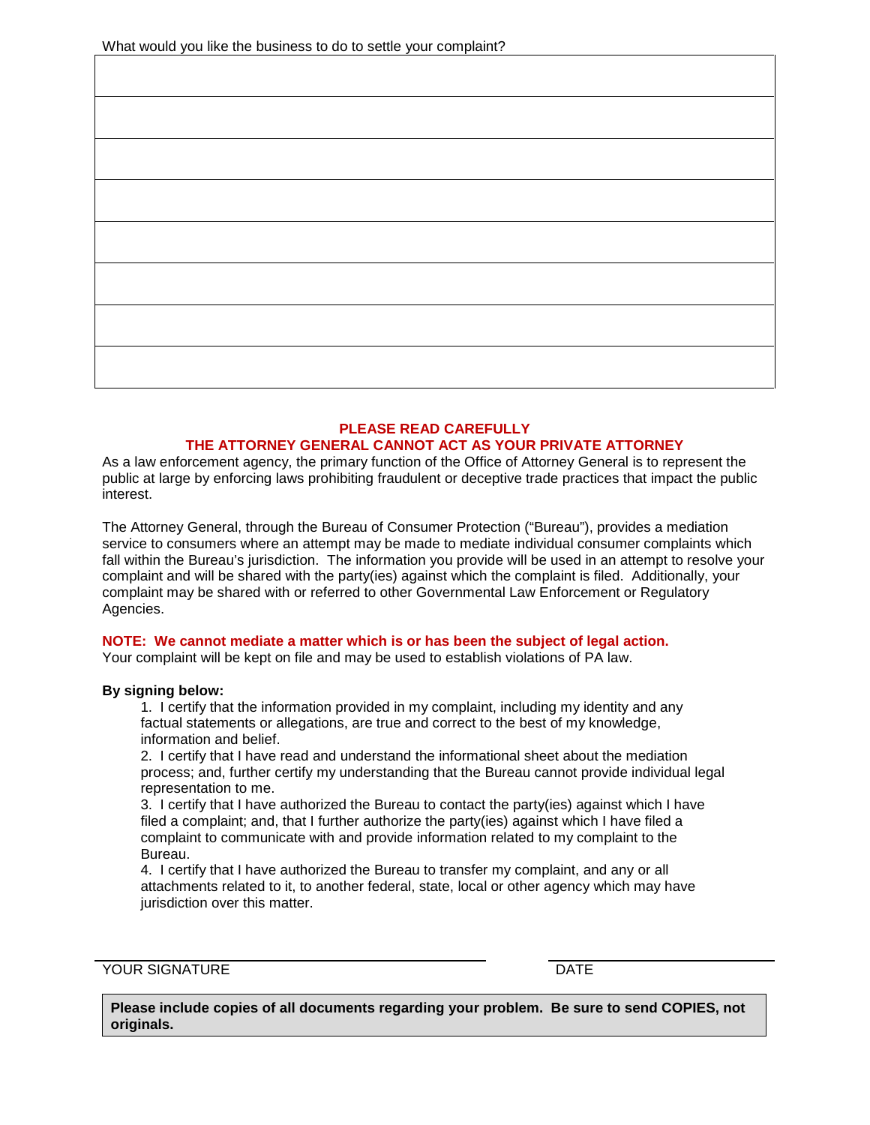## **PLEASE READ CAREFULLY THE ATTORNEY GENERAL CANNOT ACT AS YOUR PRIVATE ATTORNEY**

As a law enforcement agency, the primary function of the Office of Attorney General is to represent the public at large by enforcing laws prohibiting fraudulent or deceptive trade practices that impact the public interest.

The Attorney General, through the Bureau of Consumer Protection ("Bureau"), provides a mediation service to consumers where an attempt may be made to mediate individual consumer complaints which fall within the Bureau's jurisdiction. The information you provide will be used in an attempt to resolve your complaint and will be shared with the party(ies) against which the complaint is filed. Additionally, your complaint may be shared with or referred to other Governmental Law Enforcement or Regulatory Agencies.

## **NOTE: We cannot mediate a matter which is or has been the subject of legal action.**

Your complaint will be kept on file and may be used to establish violations of PA law.

## **By signing below:**

1. I certify that the information provided in my complaint, including my identity and any factual statements or allegations, are true and correct to the best of my knowledge, information and belief.

2. I certify that I have read and understand the informational sheet about the mediation process; and, further certify my understanding that the Bureau cannot provide individual legal representation to me.

3. I certify that I have authorized the Bureau to contact the party(ies) against which I have filed a complaint; and, that I further authorize the party(ies) against which I have filed a complaint to communicate with and provide information related to my complaint to the Bureau.

4. I certify that I have authorized the Bureau to transfer my complaint, and any or all attachments related to it, to another federal, state, local or other agency which may have jurisdiction over this matter.

YOUR SIGNATURE DATE

**Please include copies of all documents regarding your problem. Be sure to send COPIES, not originals.**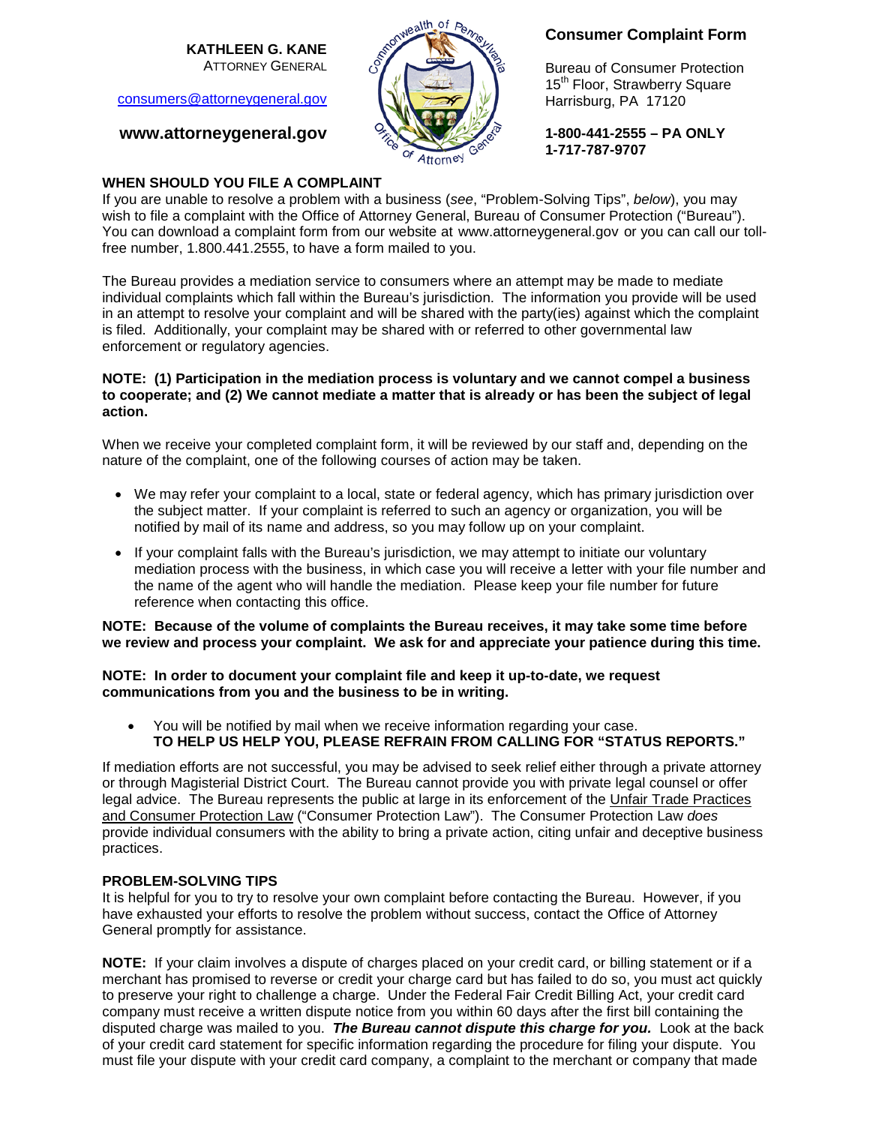**KATHLEEN G. KANE** ATTORNEY GENERAL

[consumers@attorneygeneral.gov](mailto:consumers@attorneygeneral.gov)

# **www.attorneygeneral.gov**



# **Consumer Complaint Form**

Bureau of Consumer Protection 15<sup>th</sup> Floor, Strawberry Square Harrisburg, PA 17120

**1-800-441-2555 – PA ONLY 1-717-787-9707**

## **WHEN SHOULD YOU FILE A COMPLAINT**

If you are unable to resolve a problem with a business (*see*, "Problem-Solving Tips", *below*), you may wish to file a complaint with the Office of Attorney General, Bureau of Consumer Protection ("Bureau"). You can download a complaint form from our website at [www.attorneygeneral.gov](http://www.attorneygeneral.gov/) or you can call our tollfree number, 1.800.441.2555, to have a form mailed to you.

The Bureau provides a mediation service to consumers where an attempt may be made to mediate individual complaints which fall within the Bureau's jurisdiction. The information you provide will be used in an attempt to resolve your complaint and will be shared with the party(ies) against which the complaint is filed. Additionally, your complaint may be shared with or referred to other governmental law enforcement or regulatory agencies.

## **NOTE: (1) Participation in the mediation process is voluntary and we cannot compel a business to cooperate; and (2) We cannot mediate a matter that is already or has been the subject of legal action.**

When we receive your completed complaint form, it will be reviewed by our staff and, depending on the nature of the complaint, one of the following courses of action may be taken.

- We may refer your complaint to a local, state or federal agency, which has primary jurisdiction over the subject matter. If your complaint is referred to such an agency or organization, you will be notified by mail of its name and address, so you may follow up on your complaint.
- If your complaint falls with the Bureau's jurisdiction, we may attempt to initiate our voluntary mediation process with the business, in which case you will receive a letter with your file number and the name of the agent who will handle the mediation. Please keep your file number for future reference when contacting this office.

## **NOTE: Because of the volume of complaints the Bureau receives, it may take some time before we review and process your complaint. We ask for and appreciate your patience during this time.**

## **NOTE: In order to document your complaint file and keep it up-to-date, we request communications from you and the business to be in writing.**

• You will be notified by mail when we receive information regarding your case. **TO HELP US HELP YOU, PLEASE REFRAIN FROM CALLING FOR "STATUS REPORTS."**

If mediation efforts are not successful, you may be advised to seek relief either through a private attorney or through Magisterial District Court. The Bureau cannot provide you with private legal counsel or offer legal advice. The Bureau represents the public at large in its enforcement of the Unfair Trade Practices and Consumer Protection Law ("Consumer Protection Law"). The Consumer Protection Law *does* provide individual consumers with the ability to bring a private action, citing unfair and deceptive business practices.

## **PROBLEM-SOLVING TIPS**

It is helpful for you to try to resolve your own complaint before contacting the Bureau. However, if you have exhausted your efforts to resolve the problem without success, contact the Office of Attorney General promptly for assistance.

**NOTE:** If your claim involves a dispute of charges placed on your credit card, or billing statement or if a merchant has promised to reverse or credit your charge card but has failed to do so, you must act quickly to preserve your right to challenge a charge. Under the Federal Fair Credit Billing Act, your credit card company must receive a written dispute notice from you within 60 days after the first bill containing the disputed charge was mailed to you. *The Bureau cannot dispute this charge for you.* Look at the back of your credit card statement for specific information regarding the procedure for filing your dispute. You must file your dispute with your credit card company, a complaint to the merchant or company that made